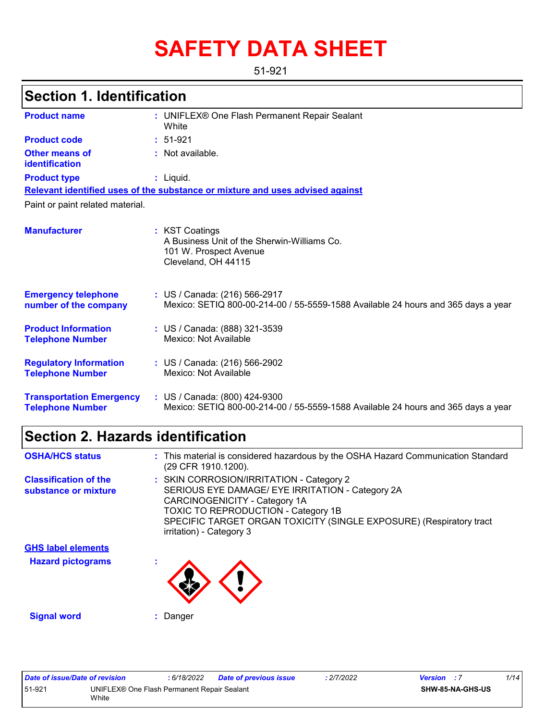# **SAFETY DATA SHEET**

51-921

# **Section 1. Identification**

| <b>Product name</b>                                        | : UNIFLEX® One Flash Permanent Repair Sealant<br>White                                                             |  |  |  |  |  |
|------------------------------------------------------------|--------------------------------------------------------------------------------------------------------------------|--|--|--|--|--|
| <b>Product code</b>                                        | $: 51-921$                                                                                                         |  |  |  |  |  |
| <b>Other means of</b><br>identification                    | : Not available.                                                                                                   |  |  |  |  |  |
| <b>Product type</b>                                        | $:$ Liquid.                                                                                                        |  |  |  |  |  |
|                                                            | Relevant identified uses of the substance or mixture and uses advised against                                      |  |  |  |  |  |
| Paint or paint related material.                           |                                                                                                                    |  |  |  |  |  |
| <b>Manufacturer</b>                                        | : KST Coatings<br>A Business Unit of the Sherwin-Williams Co.<br>101 W. Prospect Avenue<br>Cleveland, OH 44115     |  |  |  |  |  |
| <b>Emergency telephone</b><br>number of the company        | : US / Canada: (216) 566-2917<br>Mexico: SETIQ 800-00-214-00 / 55-5559-1588 Available 24 hours and 365 days a year |  |  |  |  |  |
| <b>Product Information</b><br><b>Telephone Number</b>      | : US / Canada: (888) 321-3539<br>Mexico: Not Available                                                             |  |  |  |  |  |
| <b>Regulatory Information</b><br><b>Telephone Number</b>   | : US / Canada: (216) 566-2902<br>Mexico: Not Available                                                             |  |  |  |  |  |
| <b>Transportation Emergency</b><br><b>Telephone Number</b> | : US / Canada: (800) 424-9300<br>Mexico: SETIQ 800-00-214-00 / 55-5559-1588 Available 24 hours and 365 days a year |  |  |  |  |  |

## **Section 2. Hazards identification**

| <b>OSHA/HCS status</b>                               | : This material is considered hazardous by the OSHA Hazard Communication Standard<br>(29 CFR 1910.1200).                                                                                                                                                                       |
|------------------------------------------------------|--------------------------------------------------------------------------------------------------------------------------------------------------------------------------------------------------------------------------------------------------------------------------------|
| <b>Classification of the</b><br>substance or mixture | : SKIN CORROSION/IRRITATION - Category 2<br>SERIOUS EYE DAMAGE/ EYE IRRITATION - Category 2A<br>CARCINOGENICITY - Category 1A<br><b>TOXIC TO REPRODUCTION - Category 1B</b><br>SPECIFIC TARGET ORGAN TOXICITY (SINGLE EXPOSURE) (Respiratory tract<br>irritation) - Category 3 |
| <b>GHS label elements</b>                            |                                                                                                                                                                                                                                                                                |
| <b>Hazard pictograms</b>                             |                                                                                                                                                                                                                                                                                |

**Signal word :** Danger

Œ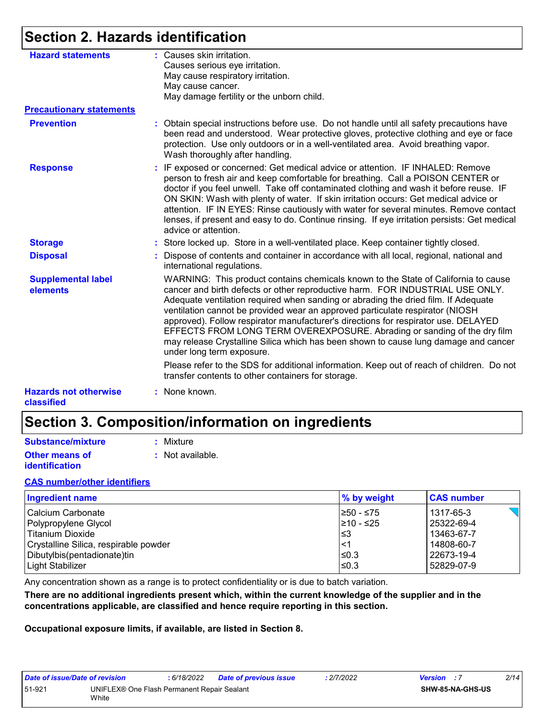# **Section 2. Hazards identification**

| <b>Hazard statements</b>                   | : Causes skin irritation.                                                                                                                                                                                                                                                                                                                                                                                                                                                                                                                                                                                                        |
|--------------------------------------------|----------------------------------------------------------------------------------------------------------------------------------------------------------------------------------------------------------------------------------------------------------------------------------------------------------------------------------------------------------------------------------------------------------------------------------------------------------------------------------------------------------------------------------------------------------------------------------------------------------------------------------|
|                                            | Causes serious eye irritation.                                                                                                                                                                                                                                                                                                                                                                                                                                                                                                                                                                                                   |
|                                            | May cause respiratory irritation.                                                                                                                                                                                                                                                                                                                                                                                                                                                                                                                                                                                                |
|                                            | May cause cancer.                                                                                                                                                                                                                                                                                                                                                                                                                                                                                                                                                                                                                |
|                                            | May damage fertility or the unborn child.                                                                                                                                                                                                                                                                                                                                                                                                                                                                                                                                                                                        |
| <b>Precautionary statements</b>            |                                                                                                                                                                                                                                                                                                                                                                                                                                                                                                                                                                                                                                  |
| <b>Prevention</b>                          | : Obtain special instructions before use. Do not handle until all safety precautions have<br>been read and understood. Wear protective gloves, protective clothing and eye or face<br>protection. Use only outdoors or in a well-ventilated area. Avoid breathing vapor.<br>Wash thoroughly after handling.                                                                                                                                                                                                                                                                                                                      |
| <b>Response</b>                            | : IF exposed or concerned: Get medical advice or attention. IF INHALED: Remove<br>person to fresh air and keep comfortable for breathing. Call a POISON CENTER or<br>doctor if you feel unwell. Take off contaminated clothing and wash it before reuse. IF<br>ON SKIN: Wash with plenty of water. If skin irritation occurs: Get medical advice or<br>attention. IF IN EYES: Rinse cautiously with water for several minutes. Remove contact<br>lenses, if present and easy to do. Continue rinsing. If eye irritation persists: Get medical<br>advice or attention.                                                            |
| <b>Storage</b>                             | : Store locked up. Store in a well-ventilated place. Keep container tightly closed.                                                                                                                                                                                                                                                                                                                                                                                                                                                                                                                                              |
| <b>Disposal</b>                            | Dispose of contents and container in accordance with all local, regional, national and<br>international regulations.                                                                                                                                                                                                                                                                                                                                                                                                                                                                                                             |
| <b>Supplemental label</b><br>elements      | WARNING: This product contains chemicals known to the State of California to cause<br>cancer and birth defects or other reproductive harm. FOR INDUSTRIAL USE ONLY.<br>Adequate ventilation required when sanding or abrading the dried film. If Adequate<br>ventilation cannot be provided wear an approved particulate respirator (NIOSH<br>approved). Follow respirator manufacturer's directions for respirator use. DELAYED<br>EFFECTS FROM LONG TERM OVEREXPOSURE. Abrading or sanding of the dry film<br>may release Crystalline Silica which has been shown to cause lung damage and cancer<br>under long term exposure. |
|                                            | Please refer to the SDS for additional information. Keep out of reach of children. Do not<br>transfer contents to other containers for storage.                                                                                                                                                                                                                                                                                                                                                                                                                                                                                  |
| <b>Hazards not otherwise</b><br>classified | : None known.                                                                                                                                                                                                                                                                                                                                                                                                                                                                                                                                                                                                                    |

# **Section 3. Composition/information on ingredients**

| Substance/mixture     | : Mixture        |
|-----------------------|------------------|
| Other means of        | : Not available. |
| <b>identification</b> |                  |

#### **CAS number/other identifiers**

| <b>Ingredient name</b>                | % by weight | <b>CAS number</b> |
|---------------------------------------|-------------|-------------------|
| Calcium Carbonate                     | I≥50 - ≤75  | 1317-65-3         |
| Polypropylene Glycol                  | 210 - ≤25   | 25322-69-4        |
| Titanium Dioxide                      | l≤3         | 13463-67-7        |
| Crystalline Silica, respirable powder | $\leq$ 1    | 14808-60-7        |
| Dibutylbis(pentadionate)tin           | ≤0.3        | 22673-19-4        |
| Light Stabilizer                      | ≤0.3        | 52829-07-9        |

Any concentration shown as a range is to protect confidentiality or is due to batch variation.

**There are no additional ingredients present which, within the current knowledge of the supplier and in the concentrations applicable, are classified and hence require reporting in this section.**

**Occupational exposure limits, if available, are listed in Section 8.**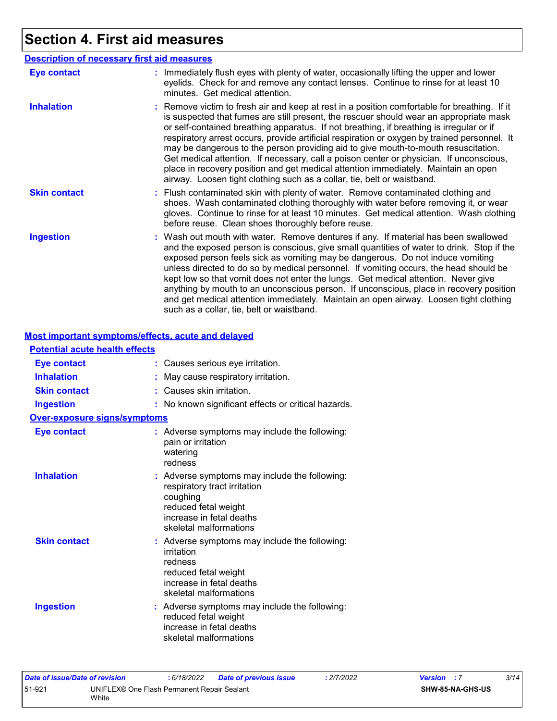# **Section 4. First aid measures**

**Most important symptoms/effects, acute and delayed**

| <b>Description of necessary first aid measures</b> |                                                                                                                                                                                                                                                                                                                                                                                                                                                                                                                                                                                                                                                                                                                                      |  |  |  |
|----------------------------------------------------|--------------------------------------------------------------------------------------------------------------------------------------------------------------------------------------------------------------------------------------------------------------------------------------------------------------------------------------------------------------------------------------------------------------------------------------------------------------------------------------------------------------------------------------------------------------------------------------------------------------------------------------------------------------------------------------------------------------------------------------|--|--|--|
| <b>Eye contact</b>                                 | : Immediately flush eyes with plenty of water, occasionally lifting the upper and lower<br>eyelids. Check for and remove any contact lenses. Continue to rinse for at least 10<br>minutes. Get medical attention.                                                                                                                                                                                                                                                                                                                                                                                                                                                                                                                    |  |  |  |
| <b>Inhalation</b>                                  | : Remove victim to fresh air and keep at rest in a position comfortable for breathing. If it<br>is suspected that fumes are still present, the rescuer should wear an appropriate mask<br>or self-contained breathing apparatus. If not breathing, if breathing is irregular or if<br>respiratory arrest occurs, provide artificial respiration or oxygen by trained personnel. It<br>may be dangerous to the person providing aid to give mouth-to-mouth resuscitation.<br>Get medical attention. If necessary, call a poison center or physician. If unconscious,<br>place in recovery position and get medical attention immediately. Maintain an open<br>airway. Loosen tight clothing such as a collar, tie, belt or waistband. |  |  |  |
| <b>Skin contact</b>                                | : Flush contaminated skin with plenty of water. Remove contaminated clothing and<br>shoes. Wash contaminated clothing thoroughly with water before removing it, or wear<br>gloves. Continue to rinse for at least 10 minutes. Get medical attention. Wash clothing<br>before reuse. Clean shoes thoroughly before reuse.                                                                                                                                                                                                                                                                                                                                                                                                             |  |  |  |
| <b>Ingestion</b>                                   | : Wash out mouth with water. Remove dentures if any. If material has been swallowed<br>and the exposed person is conscious, give small quantities of water to drink. Stop if the<br>exposed person feels sick as vomiting may be dangerous. Do not induce vomiting<br>unless directed to do so by medical personnel. If vomiting occurs, the head should be<br>kept low so that vomit does not enter the lungs. Get medical attention. Never give<br>anything by mouth to an unconscious person. If unconscious, place in recovery position<br>and get medical attention immediately. Maintain an open airway. Loosen tight clothing<br>such as a collar, tie, belt or waistband.                                                    |  |  |  |

| <b>Potential acute health effects</b> |                                                                                                                                                                         |
|---------------------------------------|-------------------------------------------------------------------------------------------------------------------------------------------------------------------------|
| <b>Eye contact</b>                    | Causes serious eye irritation.                                                                                                                                          |
| <b>Inhalation</b>                     | May cause respiratory irritation.                                                                                                                                       |
| <b>Skin contact</b>                   | Causes skin irritation.                                                                                                                                                 |
| <b>Ingestion</b>                      | No known significant effects or critical hazards.                                                                                                                       |
| <b>Over-exposure signs/symptoms</b>   |                                                                                                                                                                         |
| <b>Eye contact</b>                    | : Adverse symptoms may include the following:<br>pain or irritation<br>watering<br>redness                                                                              |
| <b>Inhalation</b>                     | : Adverse symptoms may include the following:<br>respiratory tract irritation<br>coughing<br>reduced fetal weight<br>increase in fetal deaths<br>skeletal malformations |
| <b>Skin contact</b>                   | : Adverse symptoms may include the following:<br>irritation<br>redness<br>reduced fetal weight<br>increase in fetal deaths<br>skeletal malformations                    |
| <b>Ingestion</b>                      | : Adverse symptoms may include the following:<br>reduced fetal weight<br>increase in fetal deaths<br>skeletal malformations                                             |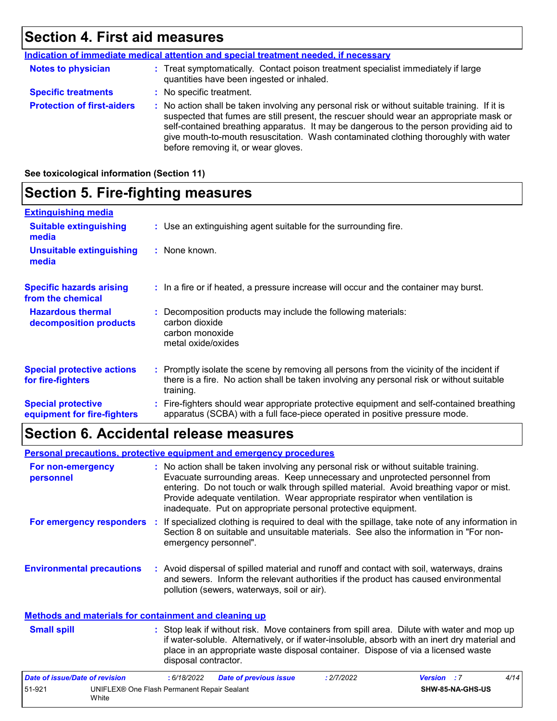### **Section 4. First aid measures**

|                                   | Indication of immediate medical attention and special treatment needed, if necessary                                                                                                                                                                                                                                                                                                                            |
|-----------------------------------|-----------------------------------------------------------------------------------------------------------------------------------------------------------------------------------------------------------------------------------------------------------------------------------------------------------------------------------------------------------------------------------------------------------------|
| <b>Notes to physician</b>         | : Treat symptomatically. Contact poison treatment specialist immediately if large<br>quantities have been ingested or inhaled.                                                                                                                                                                                                                                                                                  |
| <b>Specific treatments</b>        | : No specific treatment.                                                                                                                                                                                                                                                                                                                                                                                        |
| <b>Protection of first-aiders</b> | : No action shall be taken involving any personal risk or without suitable training. If it is<br>suspected that fumes are still present, the rescuer should wear an appropriate mask or<br>self-contained breathing apparatus. It may be dangerous to the person providing aid to<br>give mouth-to-mouth resuscitation. Wash contaminated clothing thoroughly with water<br>before removing it, or wear gloves. |

**See toxicological information (Section 11)**

### **Section 5. Fire-fighting measures**

| <b>Extinguishing media</b>                               |                                                                                                                                                                                                     |  |
|----------------------------------------------------------|-----------------------------------------------------------------------------------------------------------------------------------------------------------------------------------------------------|--|
| <b>Suitable extinguishing</b><br>media                   | : Use an extinguishing agent suitable for the surrounding fire.                                                                                                                                     |  |
| <b>Unsuitable extinguishing</b><br>media                 | : None known.                                                                                                                                                                                       |  |
| <b>Specific hazards arising</b><br>from the chemical     | : In a fire or if heated, a pressure increase will occur and the container may burst.                                                                                                               |  |
| <b>Hazardous thermal</b><br>decomposition products       | Decomposition products may include the following materials:<br>carbon dioxide<br>carbon monoxide<br>metal oxide/oxides                                                                              |  |
| <b>Special protective actions</b><br>for fire-fighters   | : Promptly isolate the scene by removing all persons from the vicinity of the incident if<br>there is a fire. No action shall be taken involving any personal risk or without suitable<br>training. |  |
| <b>Special protective</b><br>equipment for fire-fighters | : Fire-fighters should wear appropriate protective equipment and self-contained breathing<br>apparatus (SCBA) with a full face-piece operated in positive pressure mode.                            |  |

## **Section 6. Accidental release measures**

|                                                              | <b>Personal precautions, protective equipment and emergency procedures</b>                                                                                                                                                                                                                                                                                                                                       |  |
|--------------------------------------------------------------|------------------------------------------------------------------------------------------------------------------------------------------------------------------------------------------------------------------------------------------------------------------------------------------------------------------------------------------------------------------------------------------------------------------|--|
| For non-emergency<br>personnel                               | : No action shall be taken involving any personal risk or without suitable training.<br>Evacuate surrounding areas. Keep unnecessary and unprotected personnel from<br>entering. Do not touch or walk through spilled material. Avoid breathing vapor or mist.<br>Provide adequate ventilation. Wear appropriate respirator when ventilation is<br>inadequate. Put on appropriate personal protective equipment. |  |
| For emergency responders                                     | : If specialized clothing is required to deal with the spillage, take note of any information in<br>Section 8 on suitable and unsuitable materials. See also the information in "For non-<br>emergency personnel".                                                                                                                                                                                               |  |
| <b>Environmental precautions</b>                             | : Avoid dispersal of spilled material and runoff and contact with soil, waterways, drains<br>and sewers. Inform the relevant authorities if the product has caused environmental<br>pollution (sewers, waterways, soil or air).                                                                                                                                                                                  |  |
| <b>Methods and materials for containment and cleaning up</b> |                                                                                                                                                                                                                                                                                                                                                                                                                  |  |

#### Stop leak if without risk. Move containers from spill area. Dilute with water and mop up if water-soluble. Alternatively, or if water-insoluble, absorb with an inert dry material and place in an appropriate waste disposal container. Dispose of via a licensed waste disposal contractor. **Small spill :**

| Date of issue/Date of revision |                                                      | : 6/18/2022 | <b>Date of previous issue</b> | : 2/7/2022 | <b>Version</b> : 7 |                         | 4/14 |
|--------------------------------|------------------------------------------------------|-------------|-------------------------------|------------|--------------------|-------------------------|------|
| 51-921                         | UNIFLEX® One Flash Permanent Repair Sealant<br>White |             |                               |            |                    | <b>SHW-85-NA-GHS-US</b> |      |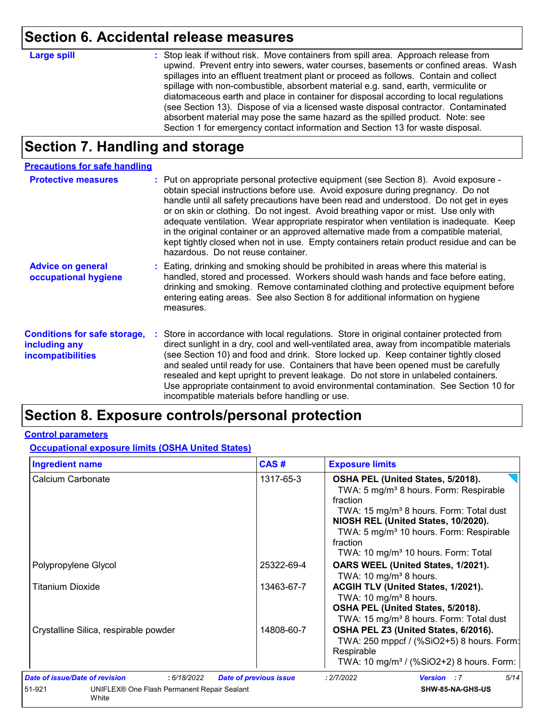### **Section 6. Accidental release measures**

#### **Large spill :**

: Stop leak if without risk. Move containers from spill area. Approach release from upwind. Prevent entry into sewers, water courses, basements or confined areas. Wash spillages into an effluent treatment plant or proceed as follows. Contain and collect spillage with non-combustible, absorbent material e.g. sand, earth, vermiculite or diatomaceous earth and place in container for disposal according to local regulations (see Section 13). Dispose of via a licensed waste disposal contractor. Contaminated absorbent material may pose the same hazard as the spilled product. Note: see Section 1 for emergency contact information and Section 13 for waste disposal.

# **Section 7. Handling and storage**

| <b>Precautions for safe handling</b>                                             |                                                                                                                                                                                                                                                                                                                                                                                                                                                                                                                                                                                                                                                                             |
|----------------------------------------------------------------------------------|-----------------------------------------------------------------------------------------------------------------------------------------------------------------------------------------------------------------------------------------------------------------------------------------------------------------------------------------------------------------------------------------------------------------------------------------------------------------------------------------------------------------------------------------------------------------------------------------------------------------------------------------------------------------------------|
| <b>Protective measures</b>                                                       | : Put on appropriate personal protective equipment (see Section 8). Avoid exposure -<br>obtain special instructions before use. Avoid exposure during pregnancy. Do not<br>handle until all safety precautions have been read and understood. Do not get in eyes<br>or on skin or clothing. Do not ingest. Avoid breathing vapor or mist. Use only with<br>adequate ventilation. Wear appropriate respirator when ventilation is inadequate. Keep<br>in the original container or an approved alternative made from a compatible material,<br>kept tightly closed when not in use. Empty containers retain product residue and can be<br>hazardous. Do not reuse container. |
| <b>Advice on general</b><br>occupational hygiene                                 | : Eating, drinking and smoking should be prohibited in areas where this material is<br>handled, stored and processed. Workers should wash hands and face before eating,<br>drinking and smoking. Remove contaminated clothing and protective equipment before<br>entering eating areas. See also Section 8 for additional information on hygiene<br>measures.                                                                                                                                                                                                                                                                                                               |
| <b>Conditions for safe storage,</b><br>including any<br><b>incompatibilities</b> | : Store in accordance with local regulations. Store in original container protected from<br>direct sunlight in a dry, cool and well-ventilated area, away from incompatible materials<br>(see Section 10) and food and drink. Store locked up. Keep container tightly closed<br>and sealed until ready for use. Containers that have been opened must be carefully<br>resealed and kept upright to prevent leakage. Do not store in unlabeled containers.<br>Use appropriate containment to avoid environmental contamination. See Section 10 for<br>incompatible materials before handling or use.                                                                         |

### **Section 8. Exposure controls/personal protection**

#### **Control parameters**

**Occupational exposure limits (OSHA United States)**

| <b>Ingredient name</b>                                         | CAS#                          | <b>Exposure limits</b>                                                                                                                                                                                                                                                                                                  |
|----------------------------------------------------------------|-------------------------------|-------------------------------------------------------------------------------------------------------------------------------------------------------------------------------------------------------------------------------------------------------------------------------------------------------------------------|
| Calcium Carbonate                                              | 1317-65-3                     | OSHA PEL (United States, 5/2018).<br>TWA: 5 mg/m <sup>3</sup> 8 hours. Form: Respirable<br>fraction<br>TWA: 15 mg/m <sup>3</sup> 8 hours. Form: Total dust<br>NIOSH REL (United States, 10/2020).<br>TWA: 5 mg/m <sup>3</sup> 10 hours. Form: Respirable<br>fraction<br>TWA: 10 mg/m <sup>3</sup> 10 hours. Form: Total |
| Polypropylene Glycol                                           | 25322-69-4                    | OARS WEEL (United States, 1/2021).<br>TWA: 10 mg/m <sup>3</sup> 8 hours.                                                                                                                                                                                                                                                |
| Titanium Dioxide                                               | 13463-67-7                    | ACGIH TLV (United States, 1/2021).<br>TWA: 10 mg/m <sup>3</sup> 8 hours.<br>OSHA PEL (United States, 5/2018).<br>TWA: 15 mg/m <sup>3</sup> 8 hours. Form: Total dust                                                                                                                                                    |
| Crystalline Silica, respirable powder                          | 14808-60-7                    | OSHA PEL Z3 (United States, 6/2016).<br>TWA: 250 mppcf / (%SiO2+5) 8 hours. Form:<br>Respirable<br>TWA: 10 mg/m <sup>3</sup> / (%SiO2+2) 8 hours. Form:                                                                                                                                                                 |
| <b>Date of issue/Date of revision</b><br>: 6/18/2022           | <b>Date of previous issue</b> | 5/14<br>: 2/7/2022<br><b>Version</b> : 7                                                                                                                                                                                                                                                                                |
| 51-921<br>UNIFLEX® One Flash Permanent Repair Sealant<br>White |                               | SHW-85-NA-GHS-US                                                                                                                                                                                                                                                                                                        |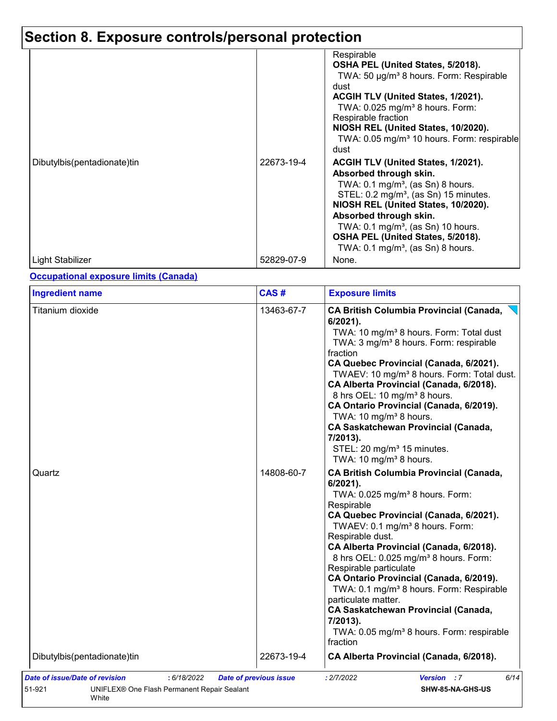# **Section 8. Exposure controls/personal protection**

|                             |            | Respirable<br>OSHA PEL (United States, 5/2018).<br>TWA: 50 µg/m <sup>3</sup> 8 hours. Form: Respirable<br>dust<br>ACGIH TLV (United States, 1/2021).<br>TWA: $0.025$ mg/m <sup>3</sup> 8 hours. Form:<br>Respirable fraction<br>NIOSH REL (United States, 10/2020).<br>TWA: 0.05 mg/m <sup>3</sup> 10 hours. Form: respirable<br>dust                                    |
|-----------------------------|------------|--------------------------------------------------------------------------------------------------------------------------------------------------------------------------------------------------------------------------------------------------------------------------------------------------------------------------------------------------------------------------|
| Dibutylbis(pentadionate)tin | 22673-19-4 | ACGIH TLV (United States, 1/2021).<br>Absorbed through skin.<br>TWA: $0.1 \text{ mg/m}^3$ , (as Sn) 8 hours.<br>STEL: 0.2 mg/m <sup>3</sup> , (as Sn) 15 minutes.<br>NIOSH REL (United States, 10/2020).<br>Absorbed through skin.<br>TWA: $0.1 \text{ mg/m}^3$ , (as Sn) 10 hours.<br>OSHA PEL (United States, 5/2018).<br>TWA: $0.1 \text{ mg/m}^3$ , (as Sn) 8 hours. |
| Light Stabilizer            | 52829-07-9 | None.                                                                                                                                                                                                                                                                                                                                                                    |

#### **Occupational exposure limits (Canada)**

| <b>Ingredient name</b>      | CAS#                     | <b>Exposure limits</b>                                                                                                                                                                                                                                                                                                                                                                                                                                                                                                                                                                                                                                                                                                                                                                                                                                                                                                                                                                                                                                                                                                                                             |
|-----------------------------|--------------------------|--------------------------------------------------------------------------------------------------------------------------------------------------------------------------------------------------------------------------------------------------------------------------------------------------------------------------------------------------------------------------------------------------------------------------------------------------------------------------------------------------------------------------------------------------------------------------------------------------------------------------------------------------------------------------------------------------------------------------------------------------------------------------------------------------------------------------------------------------------------------------------------------------------------------------------------------------------------------------------------------------------------------------------------------------------------------------------------------------------------------------------------------------------------------|
| Titanium dioxide<br>Quartz  | 13463-67-7<br>14808-60-7 | <b>CA British Columbia Provincial (Canada,</b><br>6/2021).<br>TWA: 10 mg/m <sup>3</sup> 8 hours. Form: Total dust<br>TWA: 3 mg/m <sup>3</sup> 8 hours. Form: respirable<br>fraction<br>CA Quebec Provincial (Canada, 6/2021).<br>TWAEV: 10 mg/m <sup>3</sup> 8 hours. Form: Total dust.<br>CA Alberta Provincial (Canada, 6/2018).<br>8 hrs OEL: 10 mg/m <sup>3</sup> 8 hours.<br>CA Ontario Provincial (Canada, 6/2019).<br>TWA: 10 mg/m <sup>3</sup> 8 hours.<br><b>CA Saskatchewan Provincial (Canada,</b><br>7/2013).<br>STEL: 20 mg/m <sup>3</sup> 15 minutes.<br>TWA: 10 mg/m <sup>3</sup> 8 hours.<br><b>CA British Columbia Provincial (Canada,</b><br>$6/2021$ ).<br>TWA: 0.025 mg/m <sup>3</sup> 8 hours. Form:<br>Respirable<br>CA Quebec Provincial (Canada, 6/2021).<br>TWAEV: 0.1 mg/m <sup>3</sup> 8 hours. Form:<br>Respirable dust.<br>CA Alberta Provincial (Canada, 6/2018).<br>8 hrs OEL: 0.025 mg/m <sup>3</sup> 8 hours. Form:<br>Respirable particulate<br>CA Ontario Provincial (Canada, 6/2019).<br>TWA: 0.1 mg/m <sup>3</sup> 8 hours. Form: Respirable<br>particulate matter.<br><b>CA Saskatchewan Provincial (Canada,</b><br>7/2013). |
|                             |                          | TWA: 0.05 mg/m <sup>3</sup> 8 hours. Form: respirable<br>fraction                                                                                                                                                                                                                                                                                                                                                                                                                                                                                                                                                                                                                                                                                                                                                                                                                                                                                                                                                                                                                                                                                                  |
| Dibutylbis(pentadionate)tin | 22673-19-4               | CA Alberta Provincial (Canada, 6/2018).                                                                                                                                                                                                                                                                                                                                                                                                                                                                                                                                                                                                                                                                                                                                                                                                                                                                                                                                                                                                                                                                                                                            |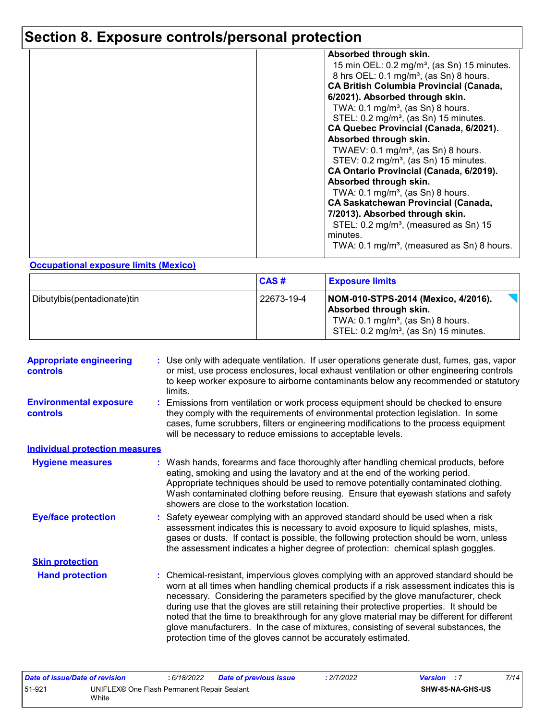# **Section 8. Exposure controls/personal protection**

| Absorbed through skin.                                 |
|--------------------------------------------------------|
| 15 min OEL: $0.2 \text{ mg/m}^3$ , (as Sn) 15 minutes. |
| 8 hrs OEL: 0.1 mg/m <sup>3</sup> , (as Sn) 8 hours.    |
| <b>CA British Columbia Provincial (Canada,</b>         |
| 6/2021). Absorbed through skin.                        |
| TWA: $0.1 \text{ mg/m}^3$ , (as Sn) 8 hours.           |
| STEL: 0.2 mg/m <sup>3</sup> , (as Sn) 15 minutes.      |
| CA Quebec Provincial (Canada, 6/2021).                 |
| Absorbed through skin.                                 |
| TWAEV: $0.1 \text{ mg/m}^3$ , (as Sn) 8 hours.         |
| STEV: 0.2 mg/m <sup>3</sup> , (as Sn) 15 minutes.      |
| CA Ontario Provincial (Canada, 6/2019).                |
| Absorbed through skin.                                 |
| TWA: $0.1 \text{ mg/m}^3$ , (as Sn) 8 hours.           |
| <b>CA Saskatchewan Provincial (Canada,</b>             |
|                                                        |
| 7/2013). Absorbed through skin.                        |
| STEL: 0.2 mg/m <sup>3</sup> , (measured as Sn) 15      |
| minutes.                                               |
| TWA: $0.1 \text{ mg/m}^3$ , (measured as Sn) 8 hours.  |
|                                                        |

#### **Occupational exposure limits (Mexico)**

|                             | <b>CAS#</b> | <b>Exposure limits</b>                                                                                                                                             |
|-----------------------------|-------------|--------------------------------------------------------------------------------------------------------------------------------------------------------------------|
| Dibutylbis(pentadionate)tin | 22673-19-4  | NOM-010-STPS-2014 (Mexico, 4/2016).<br>Absorbed through skin.<br>TWA: $0.1 \text{ mg/m}^3$ , (as Sn) 8 hours.<br>STEL: 0.2 mg/m <sup>3</sup> , (as Sn) 15 minutes. |

| <b>Appropriate engineering</b><br><b>controls</b> | : Use only with adequate ventilation. If user operations generate dust, fumes, gas, vapor<br>or mist, use process enclosures, local exhaust ventilation or other engineering controls<br>to keep worker exposure to airborne contaminants below any recommended or statutory<br>limits.                                                                                                                                                                                                                                                                                                                                |
|---------------------------------------------------|------------------------------------------------------------------------------------------------------------------------------------------------------------------------------------------------------------------------------------------------------------------------------------------------------------------------------------------------------------------------------------------------------------------------------------------------------------------------------------------------------------------------------------------------------------------------------------------------------------------------|
| <b>Environmental exposure</b><br><b>controls</b>  | : Emissions from ventilation or work process equipment should be checked to ensure<br>they comply with the requirements of environmental protection legislation. In some<br>cases, fume scrubbers, filters or engineering modifications to the process equipment<br>will be necessary to reduce emissions to acceptable levels.                                                                                                                                                                                                                                                                                        |
| <b>Individual protection measures</b>             |                                                                                                                                                                                                                                                                                                                                                                                                                                                                                                                                                                                                                        |
| <b>Hygiene measures</b>                           | : Wash hands, forearms and face thoroughly after handling chemical products, before<br>eating, smoking and using the lavatory and at the end of the working period.<br>Appropriate techniques should be used to remove potentially contaminated clothing.<br>Wash contaminated clothing before reusing. Ensure that eyewash stations and safety<br>showers are close to the workstation location.                                                                                                                                                                                                                      |
| <b>Eye/face protection</b>                        | Safety eyewear complying with an approved standard should be used when a risk<br>assessment indicates this is necessary to avoid exposure to liquid splashes, mists,<br>gases or dusts. If contact is possible, the following protection should be worn, unless<br>the assessment indicates a higher degree of protection: chemical splash goggles.                                                                                                                                                                                                                                                                    |
| <b>Skin protection</b>                            |                                                                                                                                                                                                                                                                                                                                                                                                                                                                                                                                                                                                                        |
| <b>Hand protection</b>                            | : Chemical-resistant, impervious gloves complying with an approved standard should be<br>worn at all times when handling chemical products if a risk assessment indicates this is<br>necessary. Considering the parameters specified by the glove manufacturer, check<br>during use that the gloves are still retaining their protective properties. It should be<br>noted that the time to breakthrough for any glove material may be different for different<br>glove manufacturers. In the case of mixtures, consisting of several substances, the<br>protection time of the gloves cannot be accurately estimated. |

| Date of issue/Date of revision                                  |  | : 6/18/2022 | Date of previous issue | : 2/7/2022 | <b>Version</b> : 7 | 7/14 |
|-----------------------------------------------------------------|--|-------------|------------------------|------------|--------------------|------|
| 51-921<br>UNIFLEX® One Flash Permanent Repair Sealant<br>'Vhite |  |             |                        |            | SHW-85-NA-GHS-US   |      |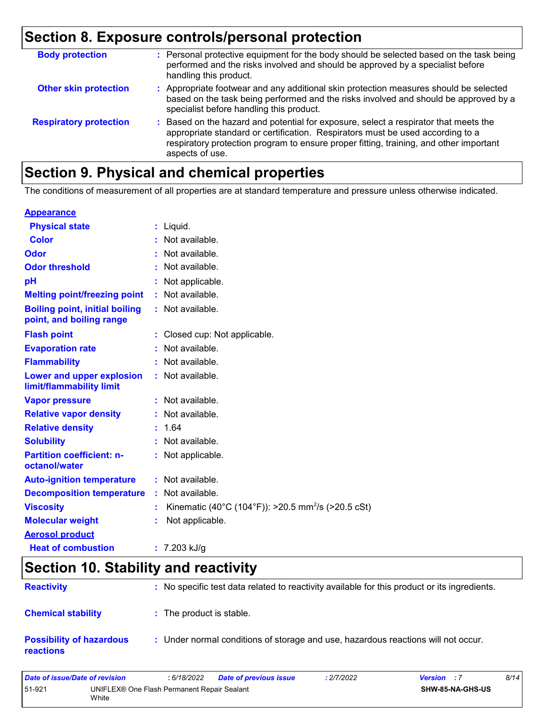# **Section 8. Exposure controls/personal protection**

| <b>Body protection</b>        | : Personal protective equipment for the body should be selected based on the task being<br>performed and the risks involved and should be approved by a specialist before<br>handling this product.                                                                                 |
|-------------------------------|-------------------------------------------------------------------------------------------------------------------------------------------------------------------------------------------------------------------------------------------------------------------------------------|
| <b>Other skin protection</b>  | : Appropriate footwear and any additional skin protection measures should be selected<br>based on the task being performed and the risks involved and should be approved by a<br>specialist before handling this product.                                                           |
| <b>Respiratory protection</b> | : Based on the hazard and potential for exposure, select a respirator that meets the<br>appropriate standard or certification. Respirators must be used according to a<br>respiratory protection program to ensure proper fitting, training, and other important<br>aspects of use. |

# **Section 9. Physical and chemical properties**

The conditions of measurement of all properties are at standard temperature and pressure unless otherwise indicated.

#### **Appearance**

| <b>Physical state</b>                                             | : Liquid.                                                      |
|-------------------------------------------------------------------|----------------------------------------------------------------|
| <b>Color</b>                                                      | : Not available.                                               |
| <b>Odor</b>                                                       | : Not available.                                               |
| <b>Odor threshold</b>                                             | : Not available.                                               |
| pH                                                                | : Not applicable.                                              |
| <b>Melting point/freezing point</b>                               | : Not available.                                               |
| <b>Boiling point, initial boiling</b><br>point, and boiling range | : Not available.                                               |
| <b>Flash point</b>                                                | : Closed cup: Not applicable.                                  |
| <b>Evaporation rate</b>                                           | : Not available.                                               |
| <b>Flammability</b>                                               | : Not available.                                               |
| Lower and upper explosion<br>limit/flammability limit             | : Not available.                                               |
| <b>Vapor pressure</b>                                             | : Not available.                                               |
| <b>Relative vapor density</b>                                     | : Not available.                                               |
| <b>Relative density</b>                                           | : 1.64                                                         |
| <b>Solubility</b>                                                 | : Not available.                                               |
| <b>Partition coefficient: n-</b><br>octanol/water                 | : Not applicable.                                              |
| <b>Auto-ignition temperature</b>                                  | : Not available.                                               |
| <b>Decomposition temperature</b>                                  | : Not available.                                               |
| <b>Viscosity</b>                                                  | Kinematic (40°C (104°F)): >20.5 mm <sup>2</sup> /s (>20.5 cSt) |
| <b>Molecular weight</b>                                           | Not applicable.                                                |
| <b>Aerosol product</b>                                            |                                                                |
| <b>Heat of combustion</b>                                         | $: 7.203$ kJ/g                                                 |

# **Section 10. Stability and reactivity**

| <b>Reactivity</b>                                   | : No specific test data related to reactivity available for this product or its ingredients. |
|-----------------------------------------------------|----------------------------------------------------------------------------------------------|
| <b>Chemical stability</b>                           | : The product is stable.                                                                     |
| <b>Possibility of hazardous</b><br><b>reactions</b> | : Under normal conditions of storage and use, hazardous reactions will not occur.            |

| Date of issue/Date of revision |                                                      | : 6/18/2022 | <b>Date of previous issue</b> | : 2/7/2022 | <b>Version</b> : 7 |                         | 8/14 |
|--------------------------------|------------------------------------------------------|-------------|-------------------------------|------------|--------------------|-------------------------|------|
| 51-921                         | UNIFLEX® One Flash Permanent Repair Sealant<br>White |             |                               |            |                    | <b>SHW-85-NA-GHS-US</b> |      |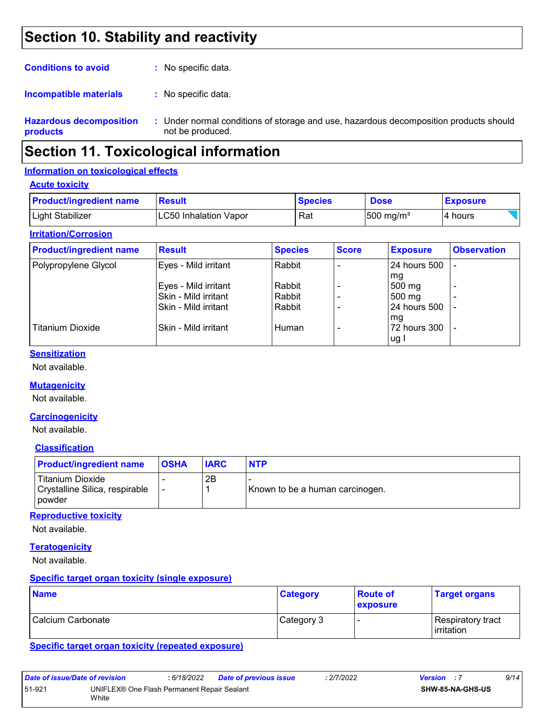# **Section 10. Stability and reactivity**

| <b>Conditions to avoid</b>                 | : No specific data.                                 |
|--------------------------------------------|-----------------------------------------------------|
| Incompatible materials                     | : No specific data.                                 |
| <b>Hazardous decomposition</b><br>products | : Under normal conditions of st<br>not be produced. |

orage and use, hazardous decomposition products should not be produced.

# **Section 11. Toxicological information**

#### **Information on toxicological effects**

#### **Acute toxicity**

| <b>Product/ingredient name</b> | Result                 | <b>Species</b> | <b>Dose</b>           | <b>Exposure</b> |
|--------------------------------|------------------------|----------------|-----------------------|-----------------|
| <b>Light Stabilizer</b>        | ILC50 Inhalation Vapor | Rat            | $ 500 \text{ mg/m}^3$ | l4 hours        |

#### **Irritation/Corrosion**

| <b>Product/ingredient name</b> | <b>Result</b>          | <b>Species</b> | <b>Score</b> | <b>Exposure</b> | <b>Observation</b> |
|--------------------------------|------------------------|----------------|--------------|-----------------|--------------------|
| Polypropylene Glycol           | Eyes - Mild irritant   | Rabbit         |              | 24 hours 500    | $\blacksquare$     |
|                                |                        |                |              | mg              |                    |
|                                | Eyes - Mild irritant   | Rabbit         |              | 500 mg          |                    |
|                                | Skin - Mild irritant   | Rabbit         |              | 500 mg          |                    |
|                                | ISkin - Mild irritant  | Rabbit         |              | 24 hours 500    |                    |
|                                |                        |                |              | mg              |                    |
| Titanium Dioxide               | l Skin - Mild irritant | Human          |              | 72 hours 300    |                    |
|                                |                        |                |              | ug I            |                    |

#### **Sensitization**

Not available.

#### **Mutagenicity**

Not available.

#### **Carcinogenicity**

Not available.

#### **Classification**

| <b>Product/ingredient name</b>                                        | <b>OSHA</b> | <b>IARC</b> | <b>NTP</b>                      |
|-----------------------------------------------------------------------|-------------|-------------|---------------------------------|
| Titanium Dioxide<br>Crystalline Silica, respirable<br><u>I</u> powder |             | 2B          | Known to be a human carcinogen. |

#### **Reproductive toxicity**

Not available.

#### **Teratogenicity**

Not available.

#### **Specific target organ toxicity (single exposure)**

| <b>Name</b>       | <b>Category</b> | <b>Route of</b><br><b>exposure</b> | <b>Target organs</b>                      |
|-------------------|-----------------|------------------------------------|-------------------------------------------|
| Calcium Carbonate | Category 3      |                                    | Respiratory tract_<br><b>l</b> irritation |

**Specific target organ toxicity (repeated exposure)**

| Date of issue/Date of revision |                                                      | : 6/18/2022 | Date of previous issue | : 2/7/2022 | <b>Version</b> : 7 |                         | 9/14 |
|--------------------------------|------------------------------------------------------|-------------|------------------------|------------|--------------------|-------------------------|------|
| 51-921                         | UNIFLEX® One Flash Permanent Repair Sealant<br>White |             |                        |            |                    | <b>SHW-85-NA-GHS-US</b> |      |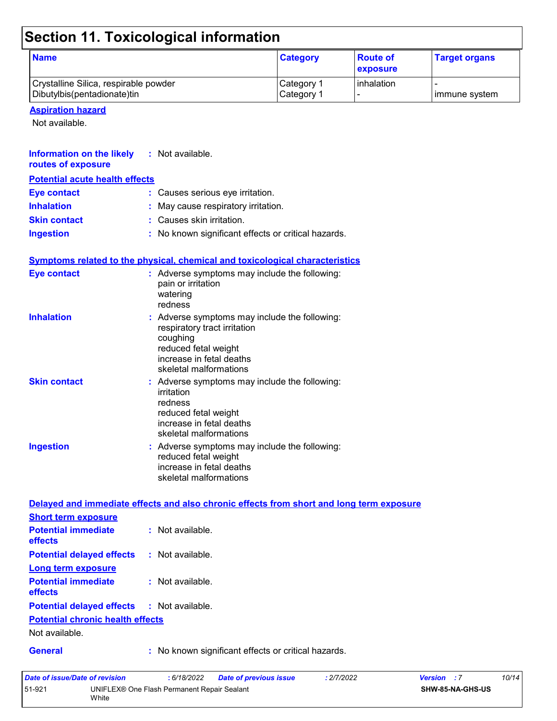# **Section 11. Toxicological information**

| <b>Name</b>                                                          | <b>Category</b>          | <b>Route of</b><br><b>exposure</b> | <b>Target organs</b> |
|----------------------------------------------------------------------|--------------------------|------------------------------------|----------------------|
| Crystalline Silica, respirable powder<br>Dibutylbis(pentadionate)tin | Category 1<br>Category 1 | l inhalation                       | I immune system      |

**Aspiration hazard**

Not available.

| <b>Information on the likely</b><br>routes of exposure | : Not available.                                                                                                                                                        |
|--------------------------------------------------------|-------------------------------------------------------------------------------------------------------------------------------------------------------------------------|
| <b>Potential acute health effects</b>                  |                                                                                                                                                                         |
| <b>Eye contact</b>                                     | : Causes serious eye irritation.                                                                                                                                        |
| <b>Inhalation</b>                                      | : May cause respiratory irritation.                                                                                                                                     |
| <b>Skin contact</b>                                    | : Causes skin irritation.                                                                                                                                               |
| <b>Ingestion</b>                                       | : No known significant effects or critical hazards.                                                                                                                     |
|                                                        | <b>Symptoms related to the physical, chemical and toxicological characteristics</b>                                                                                     |
| <b>Eye contact</b>                                     | : Adverse symptoms may include the following:<br>pain or irritation<br>watering<br>redness                                                                              |
| <b>Inhalation</b>                                      | : Adverse symptoms may include the following:<br>respiratory tract irritation<br>coughing<br>reduced fetal weight<br>increase in fetal deaths<br>skeletal malformations |
| <b>Skin contact</b>                                    | : Adverse symptoms may include the following:<br>irritation<br>redness<br>reduced fetal weight<br>increase in fetal deaths<br>skeletal malformations                    |
| <b>Ingestion</b>                                       | : Adverse symptoms may include the following:<br>reduced fetal weight<br>increase in fetal deaths<br>skeletal malformations                                             |
|                                                        | Delayed and immediate effects and also chronic effects from short and long term exposure                                                                                |
| <b>Short term exposure</b>                             |                                                                                                                                                                         |
| <b>Potential immediate</b><br>effects                  | : Not available.                                                                                                                                                        |
| <b>Potential delayed effects</b>                       | : Not available.                                                                                                                                                        |
| <b>Long term exposure</b>                              |                                                                                                                                                                         |
| <b>Potential immediate</b><br>effects                  | : Not available.                                                                                                                                                        |
| <b>Potential delayed effects</b>                       | : Not available.                                                                                                                                                        |
| <b>Potential chronic health effects</b>                |                                                                                                                                                                         |
| Not available.                                         |                                                                                                                                                                         |
| <b>General</b>                                         | : No known significant effects or critical hazards.                                                                                                                     |

| Date of issue/Date of revision |                                                      | : 6/18/2022 | <b>Date of previous issue</b> | : 2/7/2022 | <b>Version</b> : 7      |  | 10/14 |
|--------------------------------|------------------------------------------------------|-------------|-------------------------------|------------|-------------------------|--|-------|
| 51-921                         | UNIFLEX® One Flash Permanent Repair Sealant<br>White |             |                               |            | <b>SHW-85-NA-GHS-US</b> |  |       |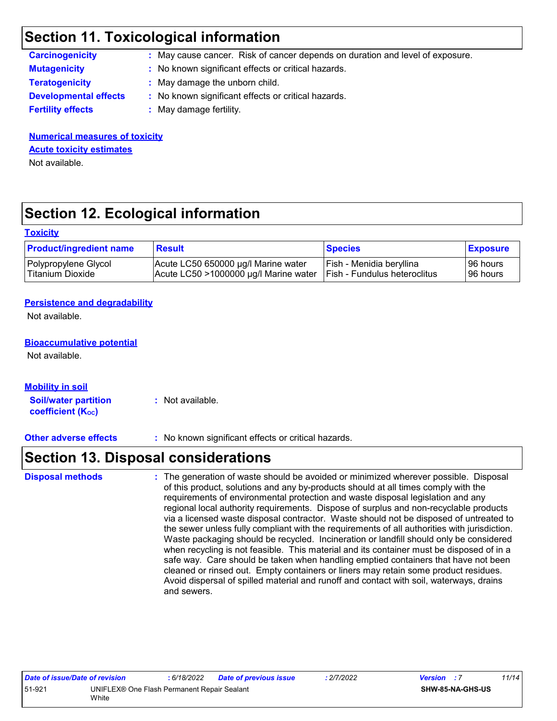# **Section 11. Toxicological information**

| <b>Carcinogenicity</b>       | : May cause cancer. Risk of cancer depends on duration and level of exposure. |
|------------------------------|-------------------------------------------------------------------------------|
| <b>Mutagenicity</b>          | : No known significant effects or critical hazards.                           |
| <b>Teratogenicity</b>        | : May damage the unborn child.                                                |
| <b>Developmental effects</b> | : No known significant effects or critical hazards.                           |
| <b>Fertility effects</b>     | : May damage fertility.                                                       |
|                              |                                                                               |

**Numerical measures of toxicity** Not available. **Acute toxicity estimates**

# **Section 12. Ecological information**

#### **Toxicity**

| <b>Product/ingredient name</b> | <b>Result</b>                            | <b>Species</b>                | <b>Exposure</b> |
|--------------------------------|------------------------------------------|-------------------------------|-----------------|
| Polypropylene Glycol           | Acute LC50 650000 ug/l Marine water      | Fish - Menidia beryllina      | 96 hours        |
| Titanium Dioxide               | Acute LC50 $>$ 1000000 µg/l Marine water | TFish - Fundulus heteroclitus | 96 hours        |

#### **Persistence and degradability**

Not available.

#### **Bioaccumulative potential**

Not available.

#### **Mobility in soil**

**Soil/water partition coefficient (Koc) :** Not available.

**Other adverse effects :** No known significant effects or critical hazards.

### **Section 13. Disposal considerations**

The generation of waste should be avoided or minimized wherever possible. Disposal of this product, solutions and any by-products should at all times comply with the requirements of environmental protection and waste disposal legislation and any regional local authority requirements. Dispose of surplus and non-recyclable products via a licensed waste disposal contractor. Waste should not be disposed of untreated to the sewer unless fully compliant with the requirements of all authorities with jurisdiction. Waste packaging should be recycled. Incineration or landfill should only be considered when recycling is not feasible. This material and its container must be disposed of in a safe way. Care should be taken when handling emptied containers that have not been cleaned or rinsed out. Empty containers or liners may retain some product residues. Avoid dispersal of spilled material and runoff and contact with soil, waterways, drains and sewers. **Disposal methods :**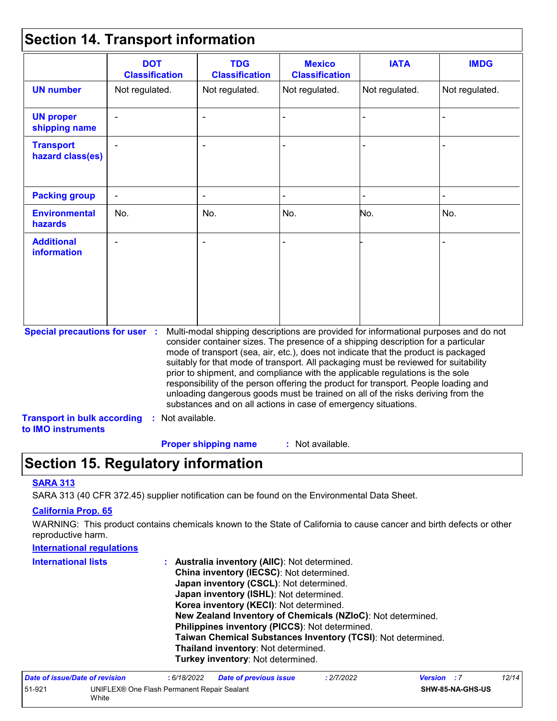# **Section 14. Transport information**

|                                                          | <b>DOT</b><br><b>Classification</b> | <b>TDG</b><br><b>Classification</b>                                                                                                                                                                                                                                                                                                                                                                                                                                                                                                                                                                                                                                                 | <b>Mexico</b><br><b>Classification</b> | <b>IATA</b>    | <b>IMDG</b>    |
|----------------------------------------------------------|-------------------------------------|-------------------------------------------------------------------------------------------------------------------------------------------------------------------------------------------------------------------------------------------------------------------------------------------------------------------------------------------------------------------------------------------------------------------------------------------------------------------------------------------------------------------------------------------------------------------------------------------------------------------------------------------------------------------------------------|----------------------------------------|----------------|----------------|
| <b>UN number</b>                                         | Not regulated.                      | Not regulated.                                                                                                                                                                                                                                                                                                                                                                                                                                                                                                                                                                                                                                                                      | Not regulated.                         | Not regulated. | Not regulated. |
| <b>UN proper</b><br>shipping name                        |                                     |                                                                                                                                                                                                                                                                                                                                                                                                                                                                                                                                                                                                                                                                                     |                                        |                |                |
| <b>Transport</b><br>hazard class(es)                     |                                     |                                                                                                                                                                                                                                                                                                                                                                                                                                                                                                                                                                                                                                                                                     |                                        |                |                |
| <b>Packing group</b>                                     |                                     |                                                                                                                                                                                                                                                                                                                                                                                                                                                                                                                                                                                                                                                                                     |                                        |                |                |
| <b>Environmental</b><br>hazards                          | No.                                 | No.                                                                                                                                                                                                                                                                                                                                                                                                                                                                                                                                                                                                                                                                                 | No.                                    | No.            | No.            |
| <b>Additional</b><br><b>information</b>                  |                                     |                                                                                                                                                                                                                                                                                                                                                                                                                                                                                                                                                                                                                                                                                     |                                        |                |                |
| <b>Special precautions for user :</b>                    |                                     | Multi-modal shipping descriptions are provided for informational purposes and do not<br>consider container sizes. The presence of a shipping description for a particular<br>mode of transport (sea, air, etc.), does not indicate that the product is packaged<br>suitably for that mode of transport. All packaging must be reviewed for suitability<br>prior to shipment, and compliance with the applicable regulations is the sole<br>responsibility of the person offering the product for transport. People loading and<br>unloading dangerous goods must be trained on all of the risks deriving from the<br>substances and on all actions in case of emergency situations. |                                        |                |                |
| <b>Transport in bulk according</b><br>to IMO instruments | : Not available.                    |                                                                                                                                                                                                                                                                                                                                                                                                                                                                                                                                                                                                                                                                                     |                                        |                |                |
|                                                          |                                     | <b>Proper shipping name</b>                                                                                                                                                                                                                                                                                                                                                                                                                                                                                                                                                                                                                                                         | : Not available.                       |                |                |

# **Section 15. Regulatory information**

#### **SARA 313**

SARA 313 (40 CFR 372.45) supplier notification can be found on the Environmental Data Sheet.

#### **California Prop. 65**

WARNING: This product contains chemicals known to the State of California to cause cancer and birth defects or other reproductive harm.

| <b>International requlations</b> |                                                                                                                                                                                                                                                                                                                                                                                                                                                                                              |
|----------------------------------|----------------------------------------------------------------------------------------------------------------------------------------------------------------------------------------------------------------------------------------------------------------------------------------------------------------------------------------------------------------------------------------------------------------------------------------------------------------------------------------------|
| <b>International lists</b>       | <b>Australia inventory (AIIC): Not determined.</b><br>China inventory (IECSC): Not determined.<br>Japan inventory (CSCL): Not determined.<br>Japan inventory (ISHL): Not determined.<br>Korea inventory (KECI): Not determined.<br>New Zealand Inventory of Chemicals (NZIoC): Not determined.<br>Philippines inventory (PICCS): Not determined.<br>Taiwan Chemical Substances Inventory (TCSI): Not determined.<br>Thailand inventory: Not determined.<br>Turkey inventory: Not determined. |
|                                  |                                                                                                                                                                                                                                                                                                                                                                                                                                                                                              |

| Date of issue/Date of revision |                                                      | : 6/18/2022 | <b>Date of previous issue</b> | .2/7/2022 | <b>Version</b> : 7      |  | 12/14 |
|--------------------------------|------------------------------------------------------|-------------|-------------------------------|-----------|-------------------------|--|-------|
| 51-921                         | UNIFLEX® One Flash Permanent Repair Sealant<br>White |             |                               |           | <b>SHW-85-NA-GHS-US</b> |  |       |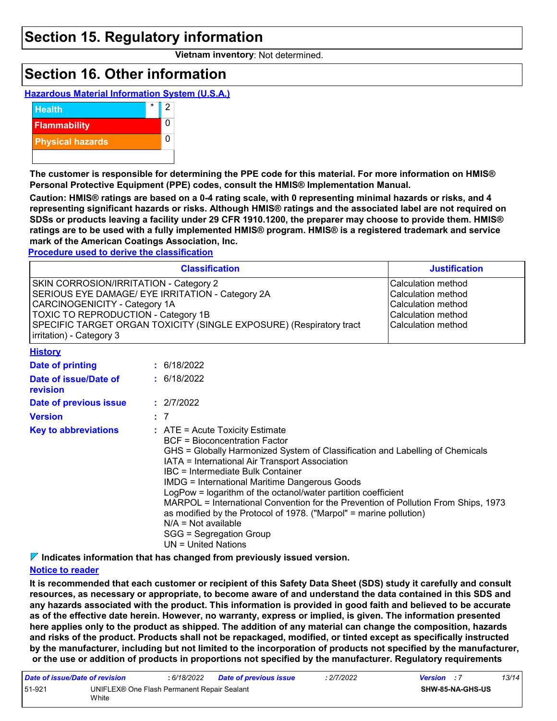### **Section 15. Regulatory information**

**Vietnam inventory**: Not determined.

## **Section 16. Other information**





**The customer is responsible for determining the PPE code for this material. For more information on HMIS® Personal Protective Equipment (PPE) codes, consult the HMIS® Implementation Manual.**

**Caution: HMIS® ratings are based on a 0-4 rating scale, with 0 representing minimal hazards or risks, and 4 representing significant hazards or risks. Although HMIS® ratings and the associated label are not required on SDSs or products leaving a facility under 29 CFR 1910.1200, the preparer may choose to provide them. HMIS® ratings are to be used with a fully implemented HMIS® program. HMIS® is a registered trademark and service mark of the American Coatings Association, Inc.**

#### **Procedure used to derive the classification**

| <b>Classification</b>                                                                                                                                                                                                                                                        | <b>Justification</b>                                                                                       |
|------------------------------------------------------------------------------------------------------------------------------------------------------------------------------------------------------------------------------------------------------------------------------|------------------------------------------------------------------------------------------------------------|
| SKIN CORROSION/IRRITATION - Category 2<br>SERIOUS EYE DAMAGE/ EYE IRRITATION - Category 2A<br><b>CARCINOGENICITY - Category 1A</b><br>TOXIC TO REPRODUCTION - Category 1B<br>SPECIFIC TARGET ORGAN TOXICITY (SINGLE EXPOSURE) (Respiratory tract<br>irritation) - Category 3 | Calculation method<br>Calculation method<br>Calculation method<br>Calculation method<br>Calculation method |
| <b>History</b>                                                                                                                                                                                                                                                               |                                                                                                            |

| Date of printing                  | : 6/18/2022                                                                                                                                                                                                                                                                                                                                                                                                                                                                                                                                                                                                           |
|-----------------------------------|-----------------------------------------------------------------------------------------------------------------------------------------------------------------------------------------------------------------------------------------------------------------------------------------------------------------------------------------------------------------------------------------------------------------------------------------------------------------------------------------------------------------------------------------------------------------------------------------------------------------------|
| Date of issue/Date of<br>revision | : 6/18/2022                                                                                                                                                                                                                                                                                                                                                                                                                                                                                                                                                                                                           |
| Date of previous issue            | : 2/7/2022                                                                                                                                                                                                                                                                                                                                                                                                                                                                                                                                                                                                            |
| <b>Version</b>                    | :7                                                                                                                                                                                                                                                                                                                                                                                                                                                                                                                                                                                                                    |
| <b>Key to abbreviations</b>       | $\therefore$ ATE = Acute Toxicity Estimate<br>BCF = Bioconcentration Factor<br>GHS = Globally Harmonized System of Classification and Labelling of Chemicals<br>IATA = International Air Transport Association<br>IBC = Intermediate Bulk Container<br><b>IMDG = International Maritime Dangerous Goods</b><br>LogPow = logarithm of the octanol/water partition coefficient<br>MARPOL = International Convention for the Prevention of Pollution From Ships, 1973<br>as modified by the Protocol of 1978. ("Marpol" = marine pollution)<br>$N/A = Not available$<br>SGG = Segregation Group<br>$UN = United Nations$ |

**Indicates information that has changed from previously issued version.**

#### **Notice to reader**

**It is recommended that each customer or recipient of this Safety Data Sheet (SDS) study it carefully and consult resources, as necessary or appropriate, to become aware of and understand the data contained in this SDS and any hazards associated with the product. This information is provided in good faith and believed to be accurate as of the effective date herein. However, no warranty, express or implied, is given. The information presented here applies only to the product as shipped. The addition of any material can change the composition, hazards and risks of the product. Products shall not be repackaged, modified, or tinted except as specifically instructed by the manufacturer, including but not limited to the incorporation of products not specified by the manufacturer, or the use or addition of products in proportions not specified by the manufacturer. Regulatory requirements** 

| Date of issue/Date of revision |                                                      | : 6/18/2022 | <b>Date of previous issue</b> | : 2/7/2022 | <b>Version</b> : 7      | 13/14 |  |
|--------------------------------|------------------------------------------------------|-------------|-------------------------------|------------|-------------------------|-------|--|
| 51-921                         | UNIFLEX® One Flash Permanent Repair Sealant<br>White |             |                               |            | <b>SHW-85-NA-GHS-US</b> |       |  |